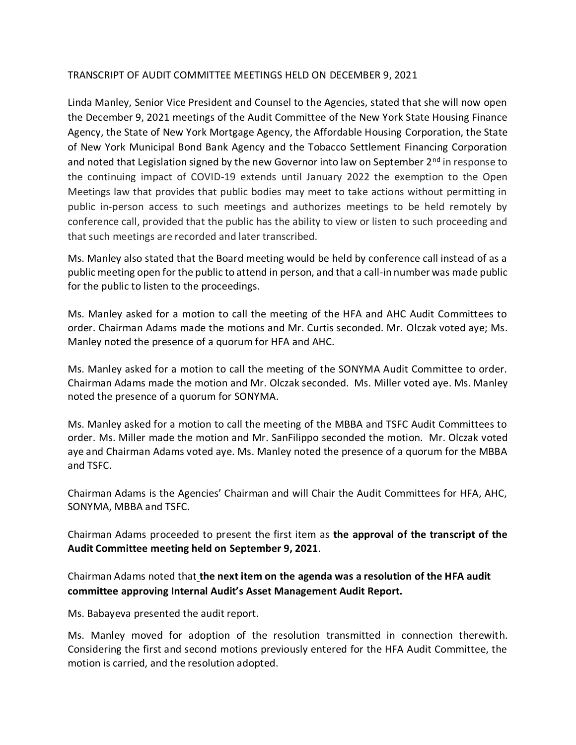## TRANSCRIPT OF AUDIT COMMITTEE MEETINGS HELD ON DECEMBER 9, 2021

Linda Manley, Senior Vice President and Counsel to the Agencies, stated that she will now open the December 9, 2021 meetings of the Audit Committee of the New York State Housing Finance Agency, the State of New York Mortgage Agency, the Affordable Housing Corporation, the State of New York Municipal Bond Bank Agency and the Tobacco Settlement Financing Corporation and noted that Legislation signed by the new Governor into law on September  $2<sup>nd</sup>$  in response to the continuing impact of COVID-19 extends until January 2022 the exemption to the Open Meetings law that provides that public bodies may meet to take actions without permitting in public in-person access to such meetings and authorizes meetings to be held remotely by conference call, provided that the public has the ability to view or listen to such proceeding and that such meetings are recorded and later transcribed.

Ms. Manley also stated that the Board meeting would be held by conference call instead of as a public meeting open for the public to attend in person, and that a call-in number was made public for the public to listen to the proceedings.

Ms. Manley asked for a motion to call the meeting of the HFA and AHC Audit Committees to order. Chairman Adams made the motions and Mr. Curtis seconded. Mr. Olczak voted aye; Ms. Manley noted the presence of a quorum for HFA and AHC.

Ms. Manley asked for a motion to call the meeting of the SONYMA Audit Committee to order. Chairman Adams made the motion and Mr. Olczak seconded. Ms. Miller voted aye. Ms. Manley noted the presence of a quorum for SONYMA.

Ms. Manley asked for a motion to call the meeting of the MBBA and TSFC Audit Committees to order. Ms. Miller made the motion and Mr. SanFilippo seconded the motion. Mr. Olczak voted aye and Chairman Adams voted aye. Ms. Manley noted the presence of a quorum for the MBBA and TSFC.

Chairman Adams is the Agencies' Chairman and will Chair the Audit Committees for HFA, AHC, SONYMA, MBBA and TSFC.

Chairman Adams proceeded to present the first item as **the approval of the transcript of the Audit Committee meeting held on September 9, 2021**.

Chairman Adams noted that **the next item on the agenda was a resolution of the HFA audit committee approving Internal Audit's Asset Management Audit Report.**

Ms. Babayeva presented the audit report.

Ms. Manley moved for adoption of the resolution transmitted in connection therewith. Considering the first and second motions previously entered for the HFA Audit Committee, the motion is carried, and the resolution adopted.